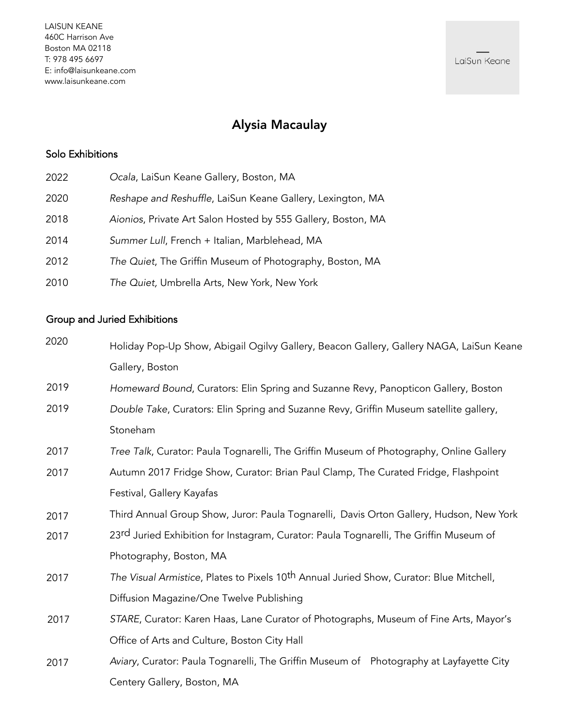# Alysia Macaulay

## Solo Exhibitions

| 2022 | Ocala, LaiSun Keane Gallery, Boston, MA                      |
|------|--------------------------------------------------------------|
| 2020 | Reshape and Reshuffle, LaiSun Keane Gallery, Lexington, MA   |
| 2018 | Aionios, Private Art Salon Hosted by 555 Gallery, Boston, MA |
| 2014 | Summer Lull, French + Italian, Marblehead, MA                |
| 2012 | The Quiet, The Griffin Museum of Photography, Boston, MA     |
| 2010 | The Quiet, Umbrella Arts, New York, New York                 |

### Group and Juried Exhibitions

| 2020 | Holiday Pop-Up Show, Abigail Ogilvy Gallery, Beacon Gallery, Gallery NAGA, LaiSun Keane             |
|------|-----------------------------------------------------------------------------------------------------|
|      | Gallery, Boston                                                                                     |
| 2019 | Homeward Bound, Curators: Elin Spring and Suzanne Revy, Panopticon Gallery, Boston                  |
| 2019 | Double Take, Curators: Elin Spring and Suzanne Revy, Griffin Museum satellite gallery,              |
|      | Stoneham                                                                                            |
| 2017 | Tree Talk, Curator: Paula Tognarelli, The Griffin Museum of Photography, Online Gallery             |
| 2017 | Autumn 2017 Fridge Show, Curator: Brian Paul Clamp, The Curated Fridge, Flashpoint                  |
|      | Festival, Gallery Kayafas                                                                           |
| 2017 | Third Annual Group Show, Juror: Paula Tognarelli, Davis Orton Gallery, Hudson, New York             |
| 2017 | 23rd Juried Exhibition for Instagram, Curator: Paula Tognarelli, The Griffin Museum of              |
|      | Photography, Boston, MA                                                                             |
| 2017 | The Visual Armistice, Plates to Pixels 10 <sup>th</sup> Annual Juried Show, Curator: Blue Mitchell, |
|      | Diffusion Magazine/One Twelve Publishing                                                            |
| 2017 | STARE, Curator: Karen Haas, Lane Curator of Photographs, Museum of Fine Arts, Mayor's               |
|      | Office of Arts and Culture, Boston City Hall                                                        |
| 2017 | Aviary, Curator: Paula Tognarelli, The Griffin Museum of Photography at Layfayette City             |
|      | Centery Gallery, Boston, MA                                                                         |

LaiSun Keane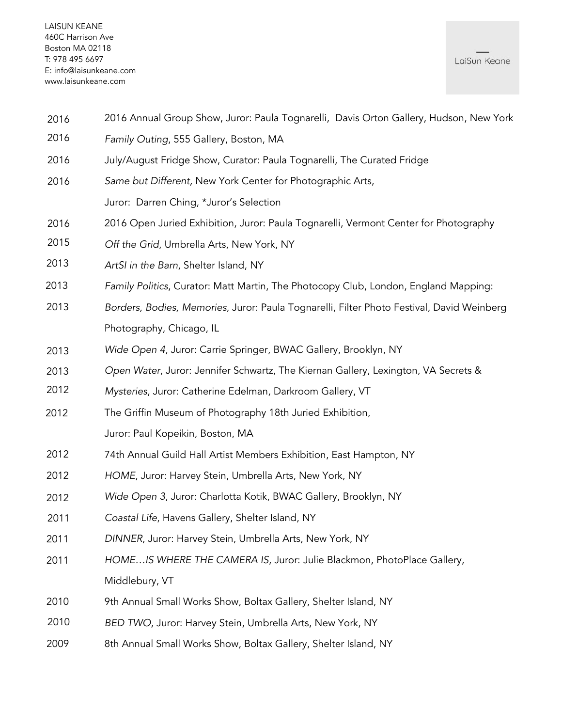- 2016 Annual Group Show, Juror: Paula Tognarelli, Davis Orton Gallery, Hudson, New York 2016
- Family Outing, 555 Gallery, Boston, MA 2016
- July/August Fridge Show, Curator: Paula Tognarelli, The Curated Fridge 2016
- Same but Different, New York Center for Photographic Arts, Juror: Darren Ching, \*Juror's Selection 2016
- 2016 Open Juried Exhibition, Juror: Paula Tognarelli, Vermont Center for Photography 2016
- Off the Grid, Umbrella Arts, New York, NY 2015
- ArtSI in the Barn, Shelter Island, NY 2013
- Family Politics, Curator: Matt Martin, The Photocopy Club, London, England Mapping: 2013
- Borders, Bodies, Memories, Juror: Paula Tognarelli, Filter Photo Festival, David Weinberg Photography, Chicago, IL 2013
- Wide Open 4, Juror: Carrie Springer, BWAC Gallery, Brooklyn, NY 2013
- Open Water, Juror: Jennifer Schwartz, The Kiernan Gallery, Lexington, VA Secrets & 2013
- Mysteries, Juror: Catherine Edelman, Darkroom Gallery, VT 2012
- The Griffin Museum of Photography 18th Juried Exhibition, Juror: Paul Kopeikin, Boston, MA 2012
- 74th Annual Guild Hall Artist Members Exhibition, East Hampton, NY 2012
- HOME, Juror: Harvey Stein, Umbrella Arts, New York, NY 2012
- Wide Open 3, Juror: Charlotta Kotik, BWAC Gallery, Brooklyn, NY 2012
- Coastal Life, Havens Gallery, Shelter Island, NY 2011
- DINNER, Juror: Harvey Stein, Umbrella Arts, New York, NY 2011
- HOME…IS WHERE THE CAMERA IS, Juror: Julie Blackmon, PhotoPlace Gallery, Middlebury, VT 2011
- 9th Annual Small Works Show, Boltax Gallery, Shelter Island, NY 2010
- BED TWO, Juror: Harvey Stein, Umbrella Arts, New York, NY 2010
- 8th Annual Small Works Show, Boltax Gallery, Shelter Island, NY 2009